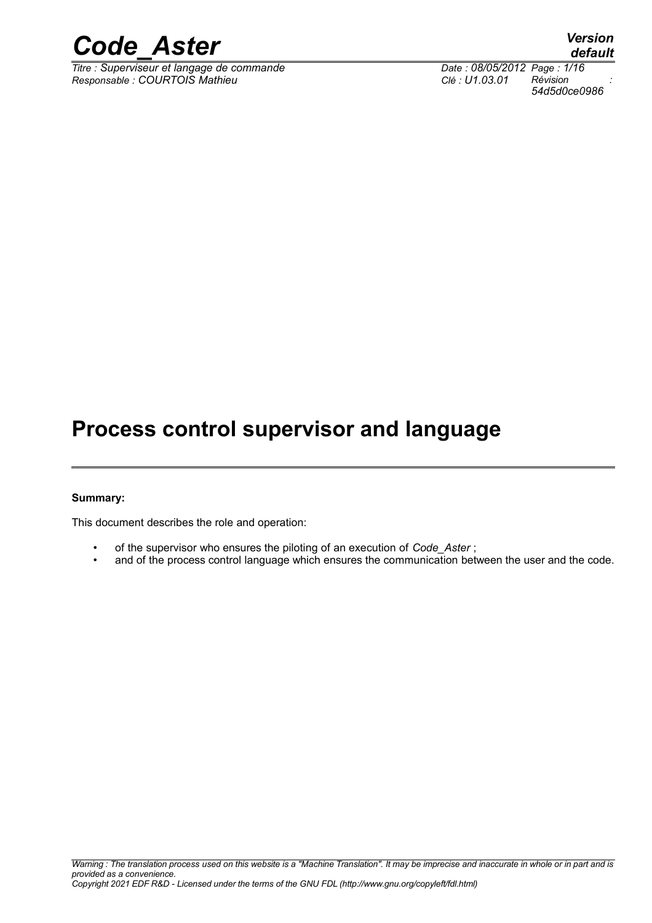

*Titre : Superviseur et langage de commande Date : 08/05/2012 Page : 1/16 Responsable : COURTOIS Mathieu Clé : U1.03.01 Révision :*

*default 54d5d0ce0986*

## **Process control supervisor and language**

#### **Summary:**

This document describes the role and operation:

- of the supervisor who ensures the piloting of an execution of *Code\_Aster* ;
- and of the process control language which ensures the communication between the user and the code.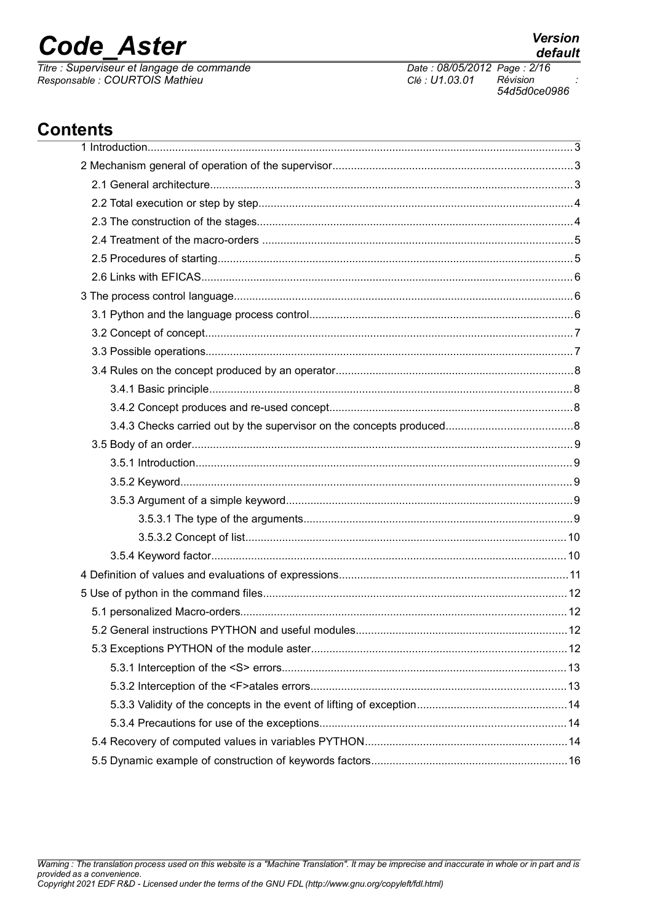## **Code Aster**

Titre : Superviseur et langage de commande Responsable : COURTOIS Mathieu

Date: 08/05/2012 Page: 2/16 Clé : U1.03.01 Révision 54d5d0ce0986

## **Contents**

| 5.2 General instructions PYTHON and useful modules |  |
|----------------------------------------------------|--|
|                                                    |  |
|                                                    |  |
|                                                    |  |
|                                                    |  |
|                                                    |  |
|                                                    |  |
|                                                    |  |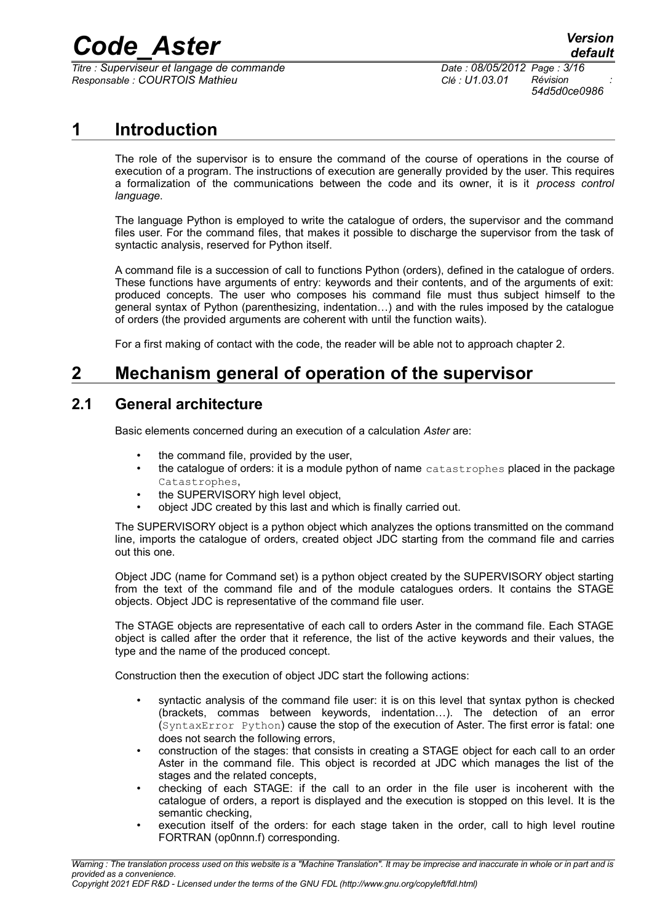# **Code\_Aster** *Version*<br>*default*<br>*Code : Superviseur et langage de commande Date : 08/05/2012 Page : 3/16*

 $\overline{T}$ itre : *Superviseur et langage de commande Responsable : COURTOIS Mathieu Clé : U1.03.01 Révision :*

*54d5d0ce0986*

## **1 Introduction**

The role of the supervisor is to ensure the command of the course of operations in the course of execution of a program. The instructions of execution are generally provided by the user. This requires a formalization of the communications between the code and its owner, it is it *process control language*.

The language Python is employed to write the catalogue of orders, the supervisor and the command files user. For the command files, that makes it possible to discharge the supervisor from the task of syntactic analysis, reserved for Python itself.

A command file is a succession of call to functions Python (orders), defined in the catalogue of orders. These functions have arguments of entry: keywords and their contents, and of the arguments of exit: produced concepts. The user who composes his command file must thus subject himself to the general syntax of Python (parenthesizing, indentation…) and with the rules imposed by the catalogue of orders (the provided arguments are coherent with until the function waits).

For a first making of contact with the code, the reader will be able not to approach chapter 2.

## **2 Mechanism general of operation of the supervisor**

### **2.1 General architecture**

Basic elements concerned during an execution of a calculation *Aster* are:

- the command file, provided by the user,
- the catalogue of orders: it is a module python of name catastrophes placed in the package Catastrophes,
- the SUPERVISORY high level object,
- object JDC created by this last and which is finally carried out.

The SUPERVISORY object is a python object which analyzes the options transmitted on the command line, imports the catalogue of orders, created object JDC starting from the command file and carries out this one.

Object JDC (name for Command set) is a python object created by the SUPERVISORY object starting from the text of the command file and of the module catalogues orders. It contains the STAGE objects. Object JDC is representative of the command file user.

The STAGE objects are representative of each call to orders Aster in the command file. Each STAGE object is called after the order that it reference, the list of the active keywords and their values, the type and the name of the produced concept.

Construction then the execution of object JDC start the following actions:

- syntactic analysis of the command file user: it is on this level that syntax python is checked (brackets, commas between keywords, indentation…). The detection of an error (SyntaxError Python) cause the stop of the execution of Aster. The first error is fatal: one does not search the following errors,
- construction of the stages: that consists in creating a STAGE object for each call to an order Aster in the command file. This object is recorded at JDC which manages the list of the stages and the related concepts,
- checking of each STAGE: if the call to an order in the file user is incoherent with the catalogue of orders, a report is displayed and the execution is stopped on this level. It is the semantic checking,
- execution itself of the orders: for each stage taken in the order, call to high level routine FORTRAN (op0nnn.f) corresponding.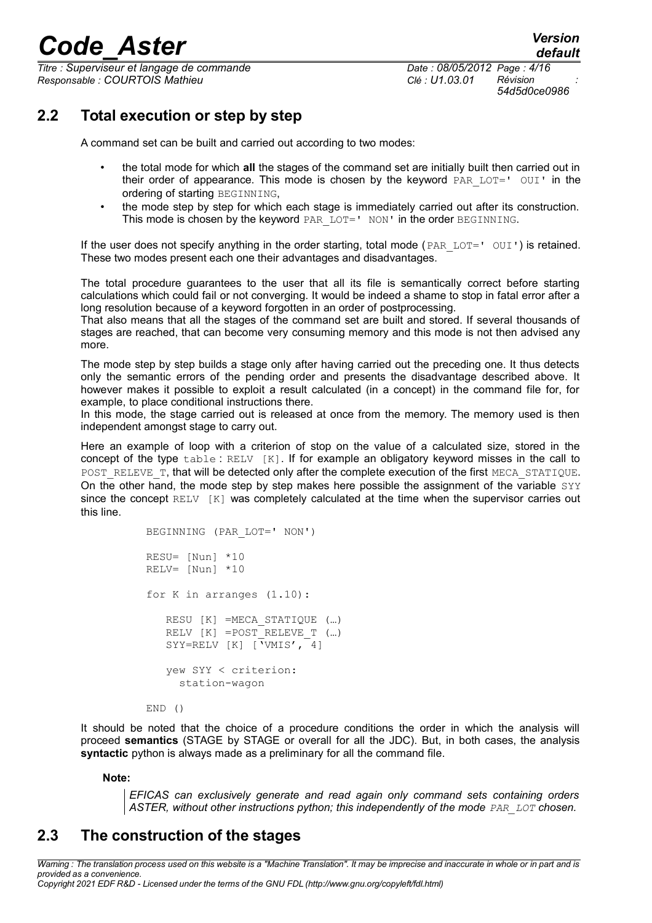$\overline{T}$ itre : *Superviseur et langage de commande Responsable : COURTOIS Mathieu Clé : U1.03.01 Révision :*

*54d5d0ce0986*

## **2.2 Total execution or step by step**

A command set can be built and carried out according to two modes:

- the total mode for which **all** the stages of the command set are initially built then carried out in their order of appearance. This mode is chosen by the keyword  $PAR$   $LOT=$ '  $OUI$ ' in the ordering of starting BEGINNING,
- the mode step by step for which each stage is immediately carried out after its construction. This mode is chosen by the keyword PAR LOT=' NON' in the order BEGINNING.

If the user does not specify anything in the order starting, total mode (PAR LOT='  $\text{OUT}$ ) is retained. These two modes present each one their advantages and disadvantages.

The total procedure guarantees to the user that all its file is semantically correct before starting calculations which could fail or not converging. It would be indeed a shame to stop in fatal error after a long resolution because of a keyword forgotten in an order of postprocessing.

That also means that all the stages of the command set are built and stored. If several thousands of stages are reached, that can become very consuming memory and this mode is not then advised any more.

The mode step by step builds a stage only after having carried out the preceding one. It thus detects only the semantic errors of the pending order and presents the disadvantage described above. It however makes it possible to exploit a result calculated (in a concept) in the command file for, for example, to place conditional instructions there.

In this mode, the stage carried out is released at once from the memory. The memory used is then independent amongst stage to carry out.

Here an example of loop with a criterion of stop on the value of a calculated size, stored in the concept of the type table : RELV [K]. If for example an obligatory keyword misses in the call to POST\_RELEVE\_T, that will be detected only after the complete execution of the first MECA\_STATIQUE. On the other hand, the mode step by step makes here possible the assignment of the variable SYY since the concept  $RELV$   $[K]$  was completely calculated at the time when the supervisor carries out this line.

```
BEGINNING (PAR_LOT=' NON')
RESU= [Nun] *10
RELV= [Nun] *10
for K in arranges (1.10):
    RESU [K] =MECA_STATIQUE (…)
   RELV [K] =POST RELEVE T (...)
   SYY=RELV [K] \overline{V}WMIS', -4]
    yew SYY < criterion:
      station-wagon
```
END ()

It should be noted that the choice of a procedure conditions the order in which the analysis will proceed **semantics** (STAGE by STAGE or overall for all the JDC). But, in both cases, the analysis **syntactic** python is always made as a preliminary for all the command file.

**Note:**

*EFICAS can exclusively generate and read again only command sets containing orders* ASTER, without other instructions python; this independently of the mode *PAR\_LOT* chosen.

## **2.3 The construction of the stages**

*Warning : The translation process used on this website is a "Machine Translation". It may be imprecise and inaccurate in whole or in part and is provided as a convenience. Copyright 2021 EDF R&D - Licensed under the terms of the GNU FDL (http://www.gnu.org/copyleft/fdl.html)*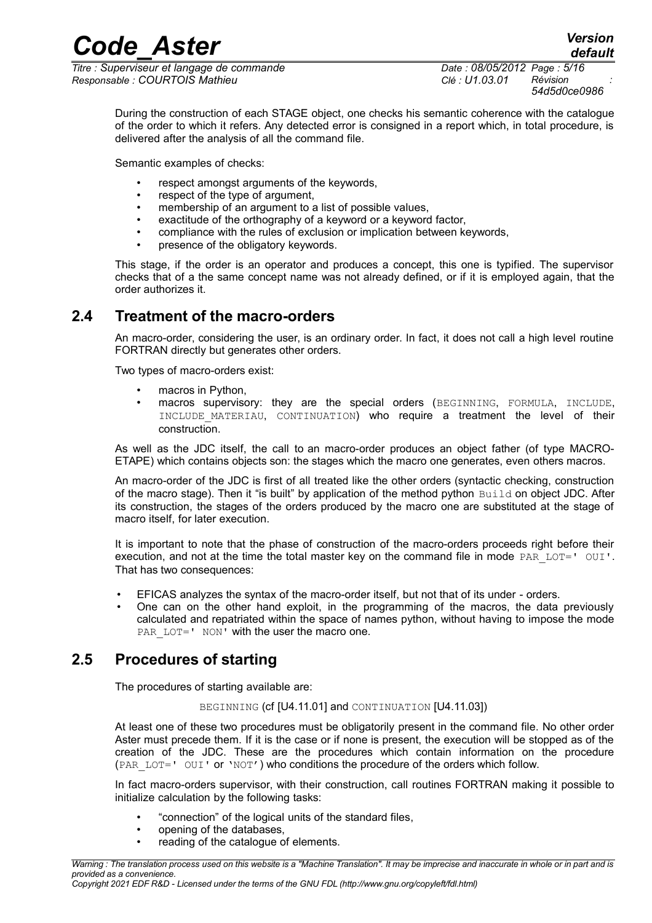*Code\_Aster Version*  $\overline{T}$ itre : *Superviseur et langage de commande Responsable : COURTOIS Mathieu Clé : U1.03.01 Révision :*

*54d5d0ce0986*

During the construction of each STAGE object, one checks his semantic coherence with the catalogue of the order to which it refers. Any detected error is consigned in a report which, in total procedure, is delivered after the analysis of all the command file.

Semantic examples of checks:

- respect amongst arguments of the keywords,
- respect of the type of argument,
- membership of an argument to a list of possible values,
- exactitude of the orthography of a keyword or a keyword factor,
- compliance with the rules of exclusion or implication between keywords,
- presence of the obligatory keywords.

This stage, if the order is an operator and produces a concept, this one is typified. The supervisor checks that of a the same concept name was not already defined, or if it is employed again, that the order authorizes it.

### **2.4 Treatment of the macro-orders**

An macro-order, considering the user, is an ordinary order. In fact, it does not call a high level routine FORTRAN directly but generates other orders.

Two types of macro-orders exist:

- macros in Python,
- macros supervisory: they are the special orders (BEGINNING, FORMULA, INCLUDE, INCLUDE MATERIAU, CONTINUATION) who require a treatment the level of their construction.

As well as the JDC itself, the call to an macro-order produces an object father (of type MACRO-ETAPE) which contains objects son: the stages which the macro one generates, even others macros.

An macro-order of the JDC is first of all treated like the other orders (syntactic checking, construction of the macro stage). Then it "is built" by application of the method python Build on object JDC. After its construction, the stages of the orders produced by the macro one are substituted at the stage of macro itself, for later execution.

It is important to note that the phase of construction of the macro-orders proceeds right before their execution, and not at the time the total master key on the command file in mode PAR  $LOT=$ '  $OUI'$ . That has two consequences:

- EFICAS analyzes the syntax of the macro-order itself, but not that of its under orders.
- One can on the other hand exploit, in the programming of the macros, the data previously calculated and repatriated within the space of names python, without having to impose the mode PAR LOT=' NON' with the user the macro one.

## **2.5 Procedures of starting**

The procedures of starting available are:

#### BEGINNING (cf [U4.11.01] and CONTINUATION [U4.11.03])

At least one of these two procedures must be obligatorily present in the command file. No other order Aster must precede them. If it is the case or if none is present, the execution will be stopped as of the creation of the JDC. These are the procedures which contain information on the procedure (PAR LOT=' OUI' or 'NOT') who conditions the procedure of the orders which follow.

In fact macro-orders supervisor, with their construction, call routines FORTRAN making it possible to initialize calculation by the following tasks:

- "connection" of the logical units of the standard files,
- opening of the databases,
- reading of the catalogue of elements.

*Copyright 2021 EDF R&D - Licensed under the terms of the GNU FDL (http://www.gnu.org/copyleft/fdl.html)*

*Warning : The translation process used on this website is a "Machine Translation". It may be imprecise and inaccurate in whole or in part and is provided as a convenience.*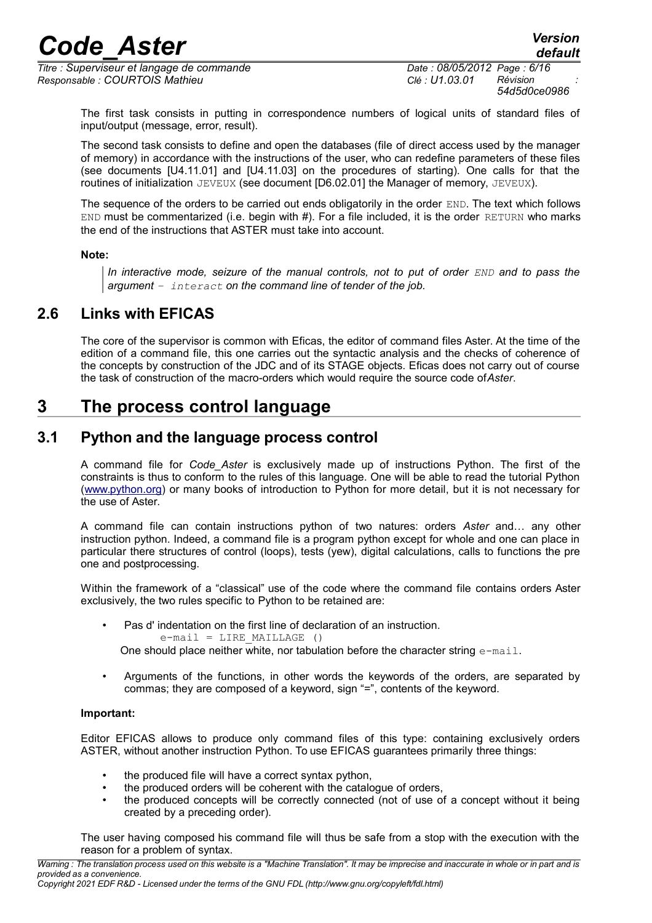$\overline{T}$ itre : *Superviseur et langage de commande Responsable : COURTOIS Mathieu Clé : U1.03.01 Révision :*

*54d5d0ce0986*

*default*

The first task consists in putting in correspondence numbers of logical units of standard files of input/output (message, error, result).

The second task consists to define and open the databases (file of direct access used by the manager of memory) in accordance with the instructions of the user, who can redefine parameters of these files (see documents [U4.11.01] and [U4.11.03] on the procedures of starting). One calls for that the routines of initialization JEVEUX (see document [D6.02.01] the Manager of memory, JEVEUX).

The sequence of the orders to be carried out ends obligatorily in the order END. The text which follows END must be commentarized (i.e. begin with #). For a file included, it is the order RETURN who marks the end of the instructions that ASTER must take into account.

#### **Note:**

*In interactive mode, seizure of the manual controls, not to put of order*  $END$  *and to pass the argument – interact on the command line of tender of the job.*

## **2.6 Links with EFICAS**

The core of the supervisor is common with Eficas, the editor of command files Aster. At the time of the edition of a command file, this one carries out the syntactic analysis and the checks of coherence of the concepts by construction of the JDC and of its STAGE objects. Eficas does not carry out of course the task of construction of the macro-orders which would require the source code of*Aster*.

## **3 The process control language**

### **3.1 Python and the language process control**

A command file for *Code\_Aster* is exclusively made up of instructions Python. The first of the constraints is thus to conform to the rules of this language. One will be able to read the tutorial Python [\(www.python.org\)](http://www.python.org/) or many books of introduction to Python for more detail, but it is not necessary for the use of Aster.

A command file can contain instructions python of two natures: orders *Aster* and… any other instruction python. Indeed, a command file is a program python except for whole and one can place in particular there structures of control (loops), tests (yew), digital calculations, calls to functions the pre one and postprocessing.

Within the framework of a "classical" use of the code where the command file contains orders Aster exclusively, the two rules specific to Python to be retained are:

- Pas d' indentation on the first line of declaration of an instruction.  $e$ -mail = LIRE MAILLAGE () One should place neither white, nor tabulation before the character string  $e$ -mail.
- Arguments of the functions, in other words the keywords of the orders, are separated by commas; they are composed of a keyword, sign "=", contents of the keyword.

#### **Important:**

Editor EFICAS allows to produce only command files of this type: containing exclusively orders ASTER, without another instruction Python. To use EFICAS guarantees primarily three things:

- the produced file will have a correct syntax python,
- the produced orders will be coherent with the catalogue of orders,
- the produced concepts will be correctly connected (not of use of a concept without it being created by a preceding order).

The user having composed his command file will thus be safe from a stop with the execution with the reason for a problem of syntax.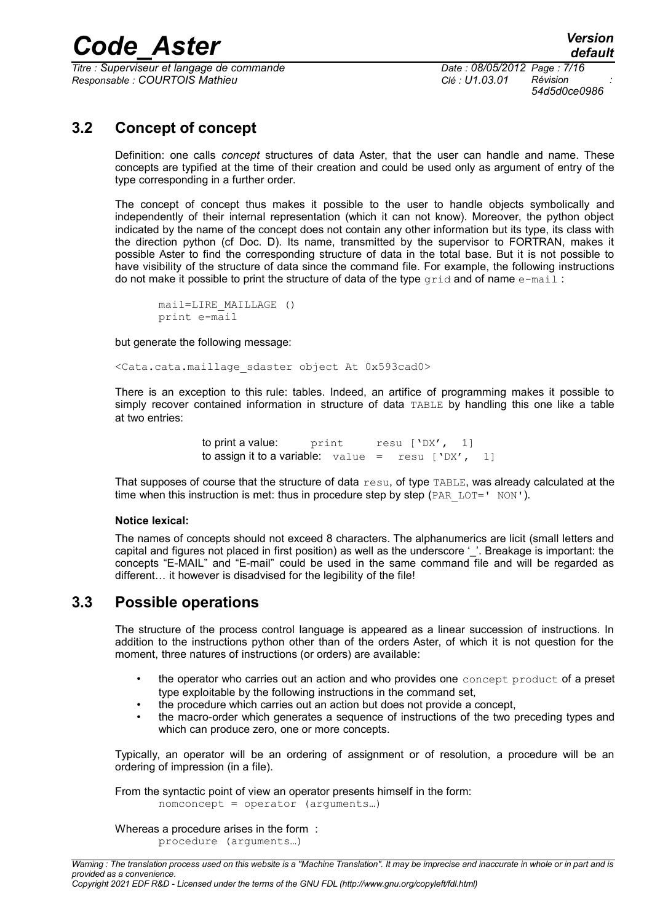$\overline{T}$ itre : *Superviseur et langage de commande Responsable : COURTOIS Mathieu Clé : U1.03.01 Révision :*

*54d5d0ce0986*

## **3.2 Concept of concept**

Definition: one calls *concept* structures of data Aster, that the user can handle and name. These concepts are typified at the time of their creation and could be used only as argument of entry of the type corresponding in a further order.

The concept of concept thus makes it possible to the user to handle objects symbolically and independently of their internal representation (which it can not know). Moreover, the python object indicated by the name of the concept does not contain any other information but its type, its class with the direction python (cf Doc. D). Its name, transmitted by the supervisor to FORTRAN, makes it possible Aster to find the corresponding structure of data in the total base. But it is not possible to have visibility of the structure of data since the command file. For example, the following instructions do not make it possible to print the structure of data of the type  $grid$  and of name  $e$ -mail:

mail=LIRE\_MAILLAGE () print e-mail

but generate the following message:

<Cata.cata.maillage\_sdaster object At 0x593cad0>

There is an exception to this rule: tables. Indeed, an artifice of programming makes it possible to simply recover contained information in structure of data TABLE by handling this one like a table at two entries:

> to print a value: print resu ['DX', 1] to assign it to a variable:  $value = \text{resu}$  ['DX', 1]

That supposes of course that the structure of data resu, of type TABLE, was already calculated at the time when this instruction is met: thus in procedure step by step ( $PAR$   $LOT=$ '  $NON$ ').

#### **Notice lexical:**

The names of concepts should not exceed 8 characters. The alphanumerics are licit (small letters and capital and figures not placed in first position) as well as the underscore '. Breakage is important: the concepts "E-MAIL" and "E-mail" could be used in the same command file and will be regarded as different… it however is disadvised for the legibility of the file!

### **3.3 Possible operations**

The structure of the process control language is appeared as a linear succession of instructions. In addition to the instructions python other than of the orders Aster, of which it is not question for the moment, three natures of instructions (or orders) are available:

- the operator who carries out an action and who provides one concept product of a preset type exploitable by the following instructions in the command set,
- the procedure which carries out an action but does not provide a concept,
- the macro-order which generates a sequence of instructions of the two preceding types and which can produce zero, one or more concepts.

Typically, an operator will be an ordering of assignment or of resolution, a procedure will be an ordering of impression (in a file).

From the syntactic point of view an operator presents himself in the form: nomconcept = operator (arguments…)

Whereas a procedure arises in the form : procedure (arguments…)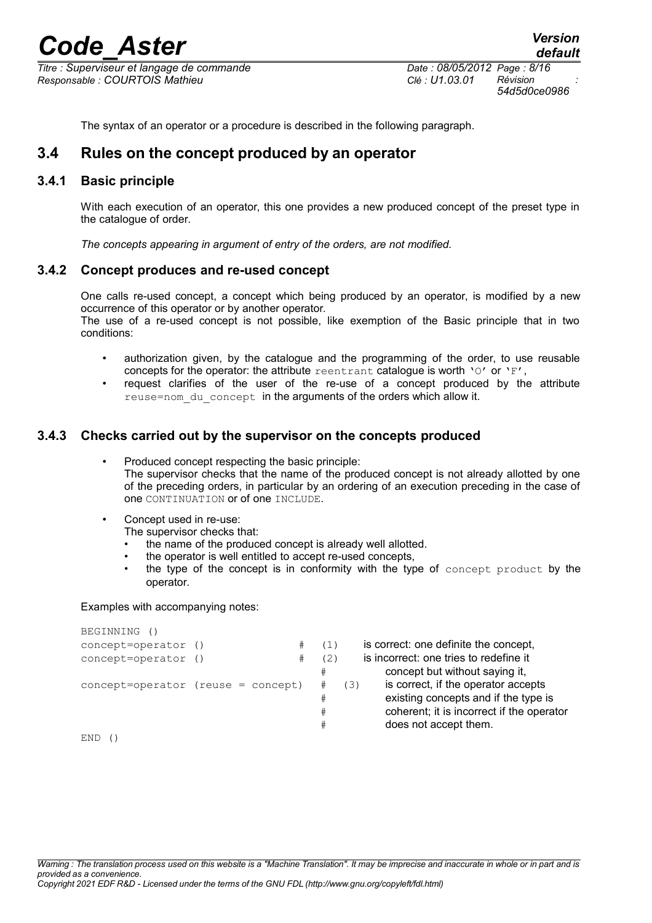$\overline{T}$ itre : *Superviseur et langage de commande Responsable : COURTOIS Mathieu Clé : U1.03.01 Révision :*

*54d5d0ce0986*

The syntax of an operator or a procedure is described in the following paragraph.

### **3.4 Rules on the concept produced by an operator**

#### **3.4.1 Basic principle**

With each execution of an operator, this one provides a new produced concept of the preset type in the catalogue of order.

*The concepts appearing in argument of entry of the orders, are not modified.*

#### **3.4.2 Concept produces and re-used concept**

One calls re-used concept, a concept which being produced by an operator, is modified by a new occurrence of this operator or by another operator.

The use of a re-used concept is not possible, like exemption of the Basic principle that in two conditions:

- authorization given, by the catalogue and the programming of the order, to use reusable concepts for the operator: the attribute reentrant catalogue is worth 'O' or 'F',
- request clarifies of the user of the re-use of a concept produced by the attribute reuse=nom du concept in the arguments of the orders which allow it.

#### **3.4.3 Checks carried out by the supervisor on the concepts produced**

- Produced concept respecting the basic principle: The supervisor checks that the name of the produced concept is not already allotted by one of the preceding orders, in particular by an ordering of an execution preceding in the case of one CONTINUATION or of one INCLUDE.
- Concept used in re-use:
	- The supervisor checks that:
	- the name of the produced concept is already well allotted.
	- the operator is well entitled to accept re-used concepts,
	- the type of the concept is in conformity with the type of concept product by the operator.

#### Examples with accompanying notes:

| REGINNING ()                         |   |     |     |                                           |
|--------------------------------------|---|-----|-----|-------------------------------------------|
| concept=operator ()                  | # | (1) |     | is correct: one definite the concept,     |
| concept=operator ()                  | # | (2) |     | is incorrect: one tries to redefine it    |
|                                      |   | #   |     | concept but without saying it,            |
| $concept=operator$ (reuse = concept) |   |     | (3) | is correct, if the operator accepts       |
|                                      |   | #   |     | existing concepts and if the type is      |
|                                      |   | #   |     | coherent; it is incorrect if the operator |
|                                      |   | #   |     | does not accept them.                     |
| END.                                 |   |     |     |                                           |

BEGINNING ()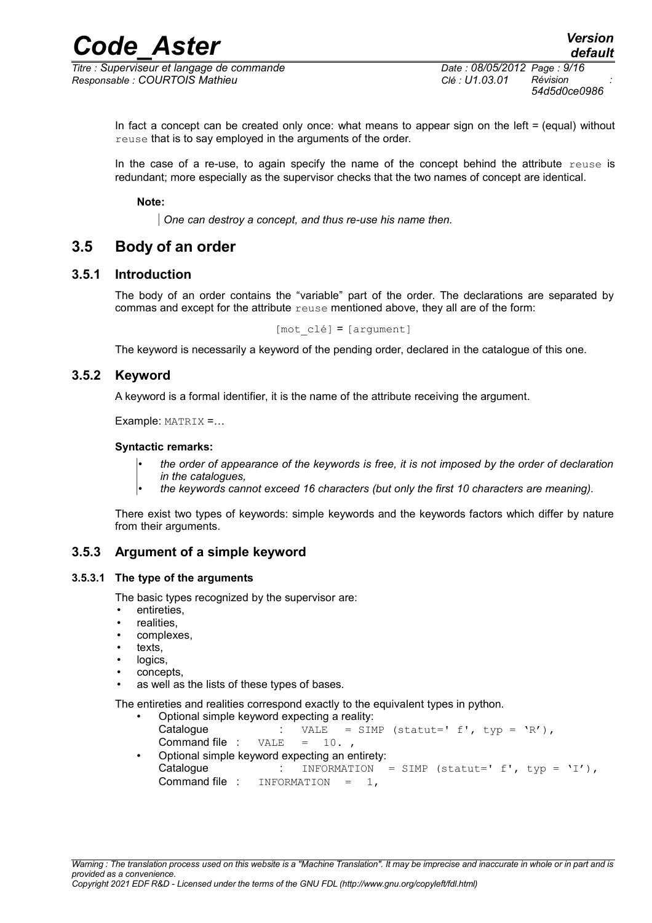$\overline{T}$ itre : *Superviseur et langage de commande Responsable : COURTOIS Mathieu Clé : U1.03.01 Révision :*

*54d5d0ce0986*

In fact a concept can be created only once: what means to appear sign on the left = (equal) without reuse that is to say employed in the arguments of the order.

In the case of a re-use, to again specify the name of the concept behind the attribute  $r =$  is redundant; more especially as the supervisor checks that the two names of concept are identical.

**Note:**

*One can destroy a concept, and thus re-use his name then.*

### **3.5 Body of an order**

#### **3.5.1 Introduction**

The body of an order contains the "variable" part of the order. The declarations are separated by commas and except for the attribute reuse mentioned above, they all are of the form:

[mot\_clé] = [argument]

The keyword is necessarily a keyword of the pending order, declared in the catalogue of this one.

#### **3.5.2 Keyword**

A keyword is a formal identifier, it is the name of the attribute receiving the argument.

Example: MATRIX =…

#### **Syntactic remarks:**

- *the order of appearance of the keywords is free, it is not imposed by the order of declaration in the catalogues,*
- *the keywords cannot exceed 16 characters (but only the first 10 characters are meaning).*

There exist two types of keywords: simple keywords and the keywords factors which differ by nature from their arguments.

#### **3.5.3 Argument of a simple keyword**

#### **3.5.3.1 The type of the arguments**

The basic types recognized by the supervisor are:

- entireties,
- realities,
- complexes,
- texts.
- logics,
- concepts,
- as well as the lists of these types of bases.

The entireties and realities correspond exactly to the equivalent types in python.

- Optional simple keyword expecting a reality: Catalogue : VALE = SIMP (statut='  $f'$ , typ =  $'R'$ ), Command file :  $VALE = 10$ .
- Optional simple keyword expecting an entirety: Catalogue : INFORMATION = SIMP (statut='  $f'$ , typ = 'I'), Command file :  $INFORMATION = 1$ ,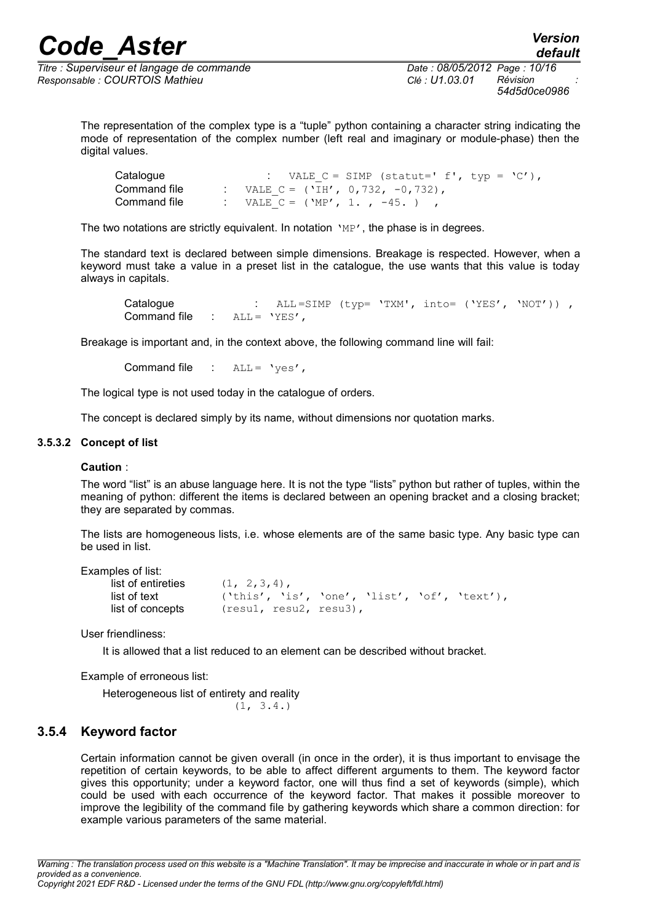$\overline{T}$ itre : *Superviseur et langage de commande Responsable : COURTOIS Mathieu Clé : U1.03.01 Révision :*

*54d5d0ce0986*

*default*

The representation of the complex type is a "tuple" python containing a character string indicating the mode of representation of the complex number (left real and imaginary or module-phase) then the digital values.

| Catalogue    | : VALE $C = SIMP$ (statut=' f', typ = 'C'), |  |
|--------------|---------------------------------------------|--|
| Command file | : VALE C = ('IH', $0,732, -0,732$ ),        |  |
| Command file | : VALE C = ('MP', 1., -45.),                |  |

The two notations are strictly equivalent. In notation  $\mu_{\rm P'}$ , the phase is in degrees.

The standard text is declared between simple dimensions. Breakage is respected. However, when a keyword must take a value in a preset list in the catalogue, the use wants that this value is today always in capitals.

Catalogue : ALL=SIMP (typ= 'TXM', into= ('YES', 'NOT')), Command file : ALL = 'YES',

Breakage is important and, in the context above, the following command line will fail:

Command file  $\therefore$  ALL = 'ves',

The logical type is not used today in the catalogue of orders.

The concept is declared simply by its name, without dimensions nor quotation marks.

#### **3.5.3.2 Concept of list**

#### **Caution** :

The word "list" is an abuse language here. It is not the type "lists" python but rather of tuples, within the meaning of python: different the items is declared between an opening bracket and a closing bracket; they are separated by commas.

The lists are homogeneous lists, i.e. whose elements are of the same basic type. Any basic type can be used in list.

Examples of list:

| list of entireties | $(1, 2, 3, 4)$ ,                             |  |  |
|--------------------|----------------------------------------------|--|--|
| list of text       | ('this', 'is', 'one', 'list', 'of', 'text'), |  |  |
| list of concepts   | (resul, resu2, resu3),                       |  |  |

User friendliness:

It is allowed that a list reduced to an element can be described without bracket.

Example of erroneous list:

Heterogeneous list of entirety and reality  $(1, 3.4.)$ 

#### **3.5.4 Keyword factor**

Certain information cannot be given overall (in once in the order), it is thus important to envisage the repetition of certain keywords, to be able to affect different arguments to them. The keyword factor gives this opportunity; under a keyword factor, one will thus find a set of keywords (simple), which could be used with each occurrence of the keyword factor. That makes it possible moreover to improve the legibility of the command file by gathering keywords which share a common direction: for example various parameters of the same material.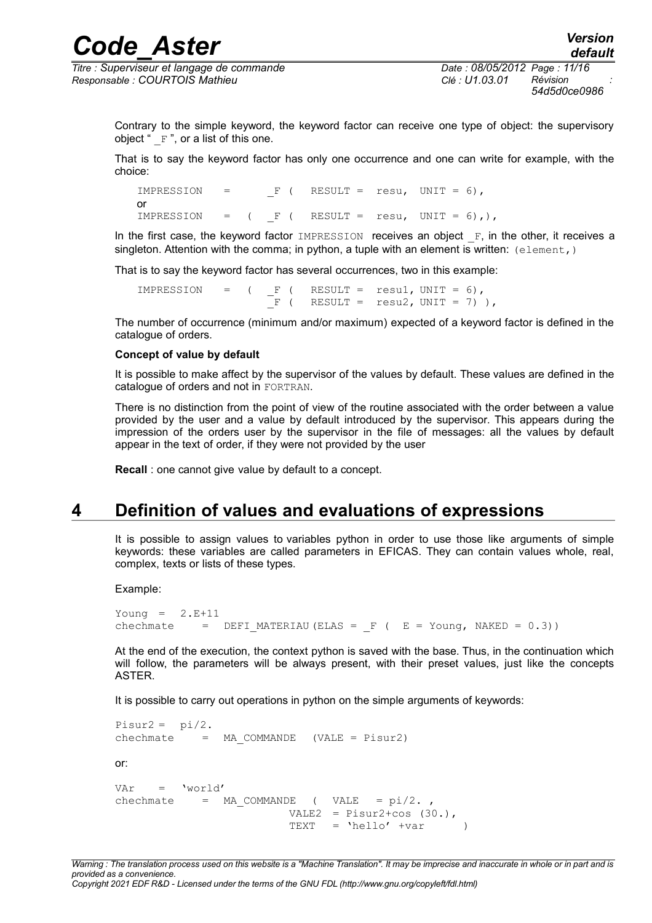$\overline{T}$ itre : *Superviseur et langage de commande Responsable : COURTOIS Mathieu Clé : U1.03.01 Révision :*

*54d5d0ce0986*

Contrary to the simple keyword, the keyword factor can receive one type of object: the supervisory object " $F$ ", or a list of this one.

That is to say the keyword factor has only one occurrence and one can write for example, with the choice:

IMPRESSION =  $F$  ( RESULT = resu, UNIT = 6), or IMPRESSION =  $($  F  $($  RESULT = resu, UNIT = 6),),

In the first case, the keyword factor  $IMPRESSION$  receives an object  $F$ , in the other, it receives a singleton. Attention with the comma; in python, a tuple with an element is written:  $(element, )$ 

That is to say the keyword factor has several occurrences, two in this example:

 $IMPRESSION = (IF ( RESULT = result, UNIT = 6),$  $\overline{F}$  ( RESULT = resu2, UNIT = 7) ),

The number of occurrence (minimum and/or maximum) expected of a keyword factor is defined in the catalogue of orders.

#### **Concept of value by default**

It is possible to make affect by the supervisor of the values by default. These values are defined in the catalogue of orders and not in FORTRAN.

There is no distinction from the point of view of the routine associated with the order between a value provided by the user and a value by default introduced by the supervisor. This appears during the impression of the orders user by the supervisor in the file of messages: all the values by default appear in the text of order, if they were not provided by the user

**Recall** : one cannot give value by default to a concept.

## **4 Definition of values and evaluations of expressions**

It is possible to assign values to variables python in order to use those like arguments of simple keywords: these variables are called parameters in EFICAS. They can contain values whole, real, complex, texts or lists of these types.

Example:

```
Young = 2.E+11chechmate = DEFI MATERIAU (ELAS = F ( E = Young, NAKED = 0.3))
```
At the end of the execution, the context python is saved with the base. Thus, in the continuation which will follow, the parameters will be always present, with their preset values, just like the concepts ASTER.

It is possible to carry out operations in python on the simple arguments of keywords:

Pisur $2 = \pi i/2$ .  $chechnate = MA COMMANDE (VALE = Pisur2)$ or:  $Var = Vword'$ chechmate =  $MA$  COMMANDE ( VALE =  $pi/2$ . VALE2 =  $Pisur2+cos(30.),$  $TEXT = 'hello' +var$  )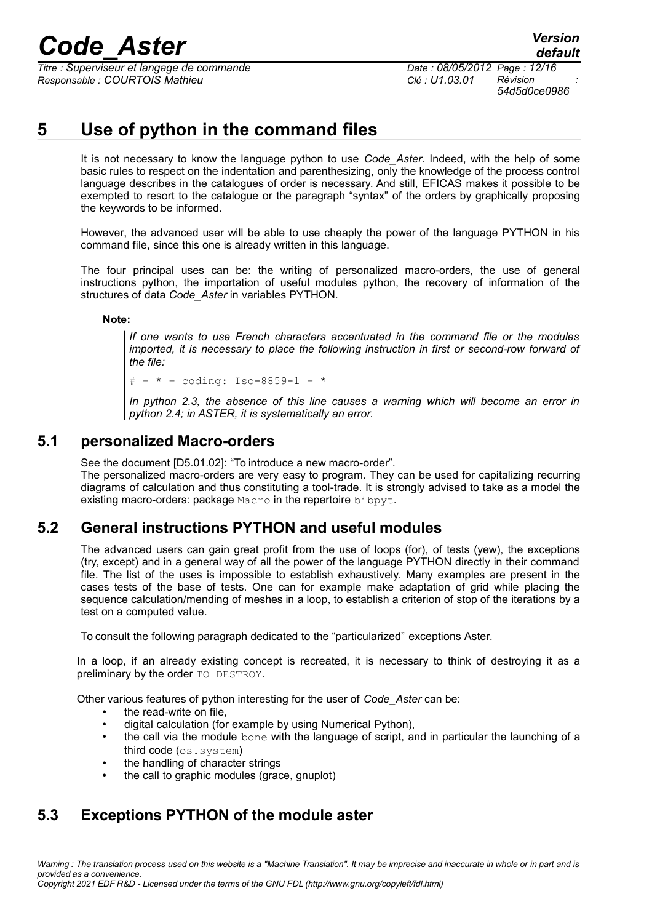$\overline{T}$ itre : *Superviseur et langage de commande Responsable : COURTOIS Mathieu Clé : U1.03.01 Révision :*

*54d5d0ce0986*

## **5 Use of python in the command files**

It is not necessary to know the language python to use *Code\_Aster*. Indeed, with the help of some basic rules to respect on the indentation and parenthesizing, only the knowledge of the process control language describes in the catalogues of order is necessary. And still, EFICAS makes it possible to be exempted to resort to the catalogue or the paragraph "syntax" of the orders by graphically proposing the keywords to be informed.

However, the advanced user will be able to use cheaply the power of the language PYTHON in his command file, since this one is already written in this language.

The four principal uses can be: the writing of personalized macro-orders, the use of general instructions python, the importation of useful modules python, the recovery of information of the structures of data *Code\_Aster* in variables PYTHON.

#### **Note:**

*If one wants to use French characters accentuated in the command file or the modules imported, it is necessary to place the following instruction in first or second-row forward of the file:*

 $# - * - coding: Iso-8859-1 - *$ 

*In python 2.3, the absence of this line causes a warning which will become an error in python 2.4; in ASTER, it is systematically an error.*

#### **5.1 personalized Macro-orders**

See the document [D5.01.02]: "To introduce a new macro-order". The personalized macro-orders are very easy to program. They can be used for capitalizing recurring diagrams of calculation and thus constituting a tool-trade. It is strongly advised to take as a model the existing macro-orders: package Macro in the repertoire bibpyt.

## **5.2 General instructions PYTHON and useful modules**

The advanced users can gain great profit from the use of loops (for), of tests (yew), the exceptions (try, except) and in a general way of all the power of the language PYTHON directly in their command file. The list of the uses is impossible to establish exhaustively. Many examples are present in the cases tests of the base of tests. One can for example make adaptation of grid while placing the sequence calculation/mending of meshes in a loop, to establish a criterion of stop of the iterations by a test on a computed value.

To consult the following paragraph dedicated to the "particularized" exceptions Aster.

In a loop, if an already existing concept is recreated, it is necessary to think of destroying it as a preliminary by the order TO DESTROY.

Other various features of python interesting for the user of *Code\_Aster* can be:

- the read-write on file,
- digital calculation (for example by using Numerical Python),
- the call via the module bone with the language of script, and in particular the launching of a third code (os.system)
- the handling of character strings
- the call to graphic modules (grace, gnuplot)

## **5.3 Exceptions PYTHON of the module aster**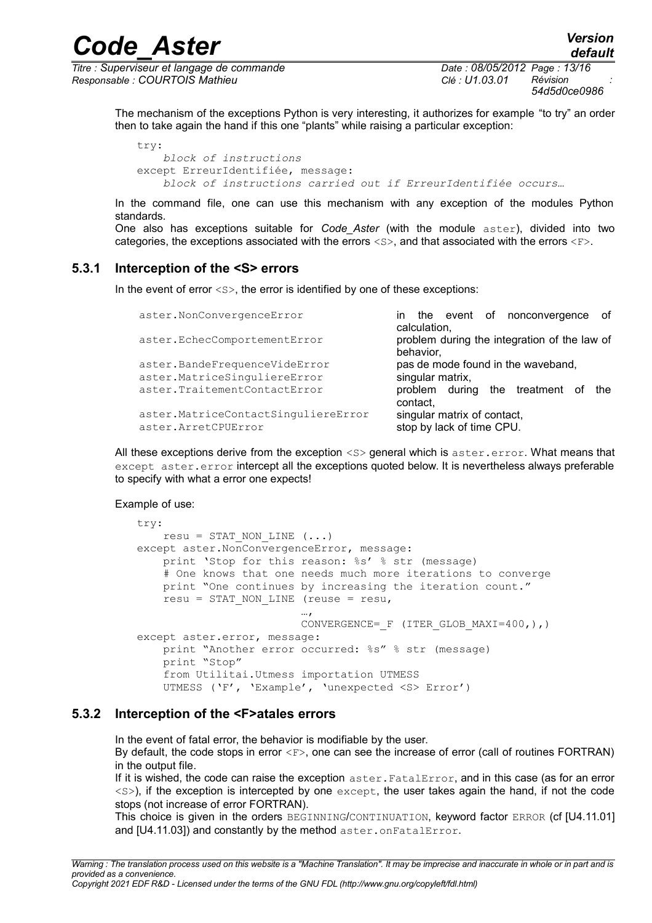$\overline{T}$ itre : *Superviseur et langage de commande Responsable : COURTOIS Mathieu Clé : U1.03.01 Révision :*

*54d5d0ce0986*

*default*

The mechanism of the exceptions Python is very interesting, it authorizes for example "to try" an order then to take again the hand if this one "plants" while raising a particular exception:

```
try:
     block of instructions
except ErreurIdentifiée, message:
     block of instructions carried out if ErreurIdentifiée occurs…
```
In the command file, one can use this mechanism with any exception of the modules Python standards.

One also has exceptions suitable for *Code\_Aster* (with the module aster), divided into two categories, the exceptions associated with the errors  $\langle s \rangle$ , and that associated with the errors  $\langle F \rangle$ .

#### **5.3.1 Interception of the <S> errors**

In the event of error  $\langle s \rangle$ , the error is identified by one of these exceptions:

| aster.NonConvergenceError                                   | of<br>in the event of nonconvergence<br>calculation,      |
|-------------------------------------------------------------|-----------------------------------------------------------|
| aster.EchecComportementError                                | problem during the integration of the law of<br>behavior, |
| aster.BandeFrequenceVideError                               | pas de mode found in the waveband,                        |
| aster.MatriceSinguliereError                                | singular matrix,                                          |
| aster.TraitementContactError                                | problem during the treatment<br>the<br>contact,           |
| aster.MatriceContactSinguliereError<br>aster. ArretCPUError | singular matrix of contact,<br>stop by lack of time CPU.  |

All these exceptions derive from the exception  $\langle s \rangle$  general which is aster.error. What means that except aster.error intercept all the exceptions quoted below. It is nevertheless always preferable to specify with what a error one expects!

Example of use:

```
try:
   resu = STAT NON LINE (...)except aster.NonConvergenceError, message:
    print 'Stop for this reason: %s' % str (message)
    # One knows that one needs much more iterations to converge
    print "One continues by increasing the iteration count."
   resu = STAT NON LINE (reuse = resu,
…,
                        CONVERGENCE= F (ITER GLOB MAXI=400,),)
except aster.error, message:
    print "Another error occurred: %s" % str (message)
    print "Stop"
    from Utilitai.Utmess importation UTMESS
    UTMESS ('F', 'Example', 'unexpected <S> Error')
```
#### **5.3.2 Interception of the <F>atales errors**

In the event of fatal error, the behavior is modifiable by the user. By default, the code stops in error  $\langle F \rangle$ , one can see the increase of error (call of routines FORTRAN) in the output file.

If it is wished, the code can raise the exception aster. FatalError, and in this case (as for an error  $\langle$  s>), if the exception is intercepted by one except, the user takes again the hand, if not the code stops (not increase of error FORTRAN).

This choice is given in the orders BEGINNING/CONTINUATION, keyword factor ERROR (cf [U4.11.01] and [U4.11.03]) and constantly by the method aster.onFatalError.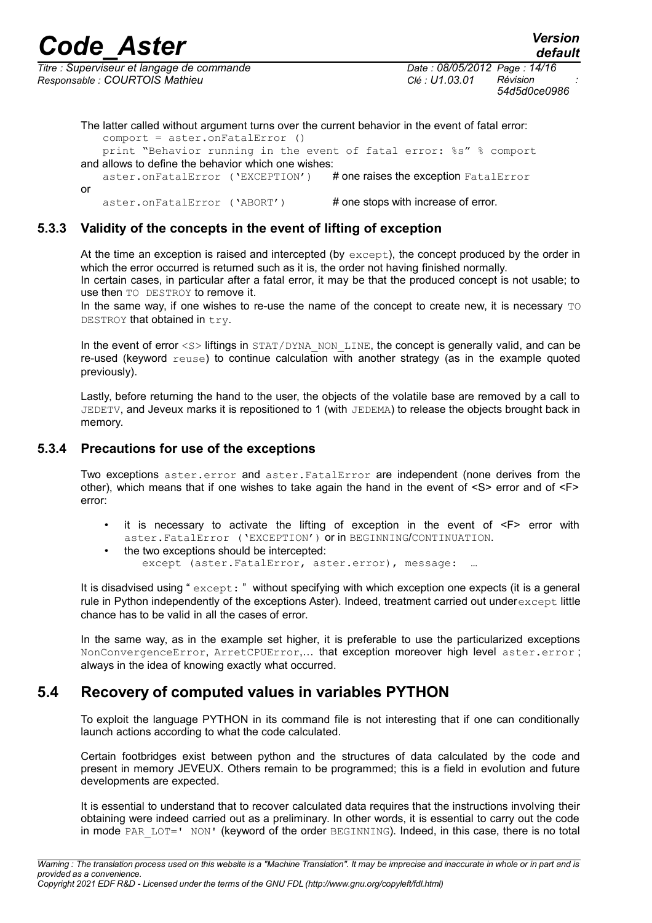$\overline{T}$ itre : *Superviseur et langage de commande Responsable : COURTOIS Mathieu Clé : U1.03.01 Révision :*

The latter called without argument turns over the current behavior in the event of fatal error: comport = aster.onFatalError () print "Behavior running in the event of fatal error: %s" % comport and allows to define the behavior which one wishes: aster.onFatalError ('EXCEPTION') # one raises the exception FatalError or aster.onFatalError ('ABORT') # one stops with increase of error.

#### **5.3.3 Validity of the concepts in the event of lifting of exception**

At the time an exception is raised and intercepted (by  $\epsilon_{\text{except}}$ ), the concept produced by the order in which the error occurred is returned such as it is, the order not having finished normally.

In certain cases, in particular after a fatal error, it may be that the produced concept is not usable; to use then TO DESTROY to remove it.

In the same way, if one wishes to re-use the name of the concept to create new, it is necessary  $\text{TO}$ DESTROY that obtained in try.

In the event of error <s> liftings in STAT/DYNA\_NON\_LINE, the concept is generally valid, and can be re-used (keyword reuse) to continue calculation with another strategy (as in the example quoted previously).

Lastly, before returning the hand to the user, the objects of the volatile base are removed by a call to JEDETV, and Jeveux marks it is repositioned to 1 (with JEDEMA) to release the objects brought back in memory.

#### **5.3.4 Precautions for use of the exceptions**

Two exceptions aster.error and aster.FatalError are independent (none derives from the other), which means that if one wishes to take again the hand in the event of  $\langle S \rangle$  error and of  $\langle F \rangle$ error:

- it is necessary to activate the lifting of exception in the event of <F> error with aster.FatalError ('EXCEPTION') or in BEGINNING/CONTINUATION.
- the two exceptions should be intercepted: except (aster.FatalError, aster.error), message:

It is disadvised using " except: " without specifying with which exception one expects (it is a general rule in Python independently of the exceptions Aster). Indeed, treatment carried out underexcept little chance has to be valid in all the cases of error.

In the same way, as in the example set higher, it is preferable to use the particularized exceptions NonConvergenceError, ArretCPUError,… that exception moreover high level aster.error ; always in the idea of knowing exactly what occurred.

## **5.4 Recovery of computed values in variables PYTHON**

To exploit the language PYTHON in its command file is not interesting that if one can conditionally launch actions according to what the code calculated.

Certain footbridges exist between python and the structures of data calculated by the code and present in memory JEVEUX. Others remain to be programmed; this is a field in evolution and future developments are expected.

It is essential to understand that to recover calculated data requires that the instructions involving their obtaining were indeed carried out as a preliminary. In other words, it is essential to carry out the code in mode PAR LOT=' NON' (keyword of the order BEGINNING). Indeed, in this case, there is no total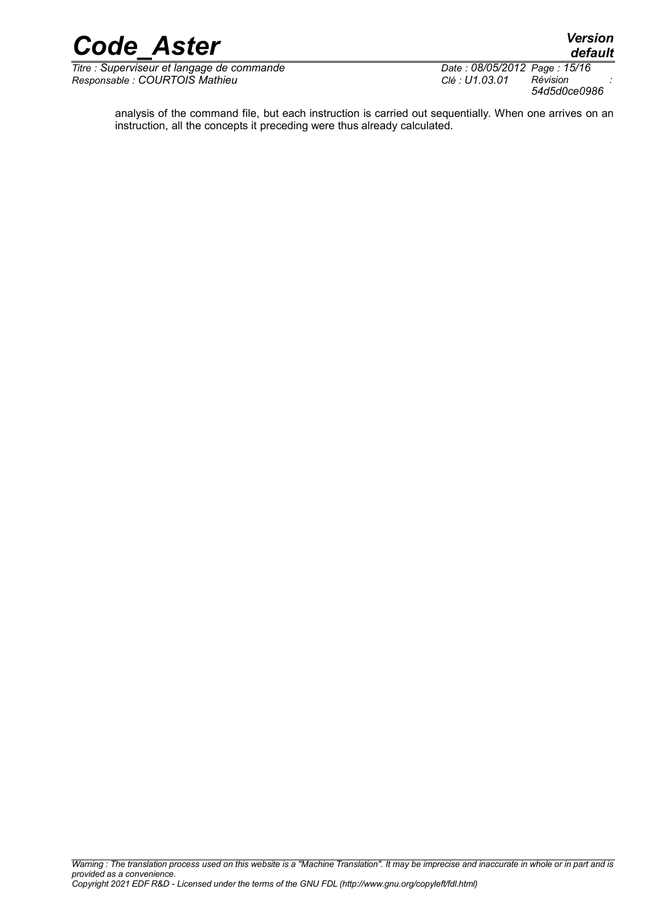

*Titre : Superviseur et langage de commande Date : 08/05/2012 Page : 15/16 Responsable : COURTOIS Mathieu Clé : U1.03.01 Révision :*

*54d5d0ce0986*

analysis of the command file, but each instruction is carried out sequentially. When one arrives on an instruction, all the concepts it preceding were thus already calculated.